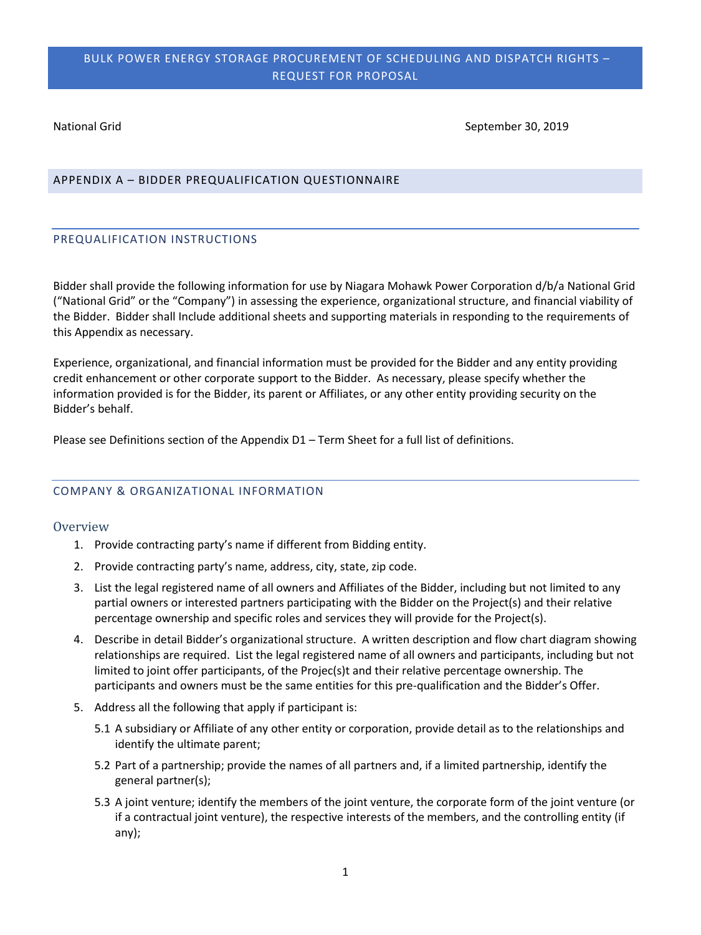National Grid September 30, 2019

### APPENDIX A – BIDDER PREQUALIFICATION QUESTIONNAIRE

### PREQUALIFICATION INSTRUCTIONS

Bidder shall provide the following information for use by Niagara Mohawk Power Corporation d/b/a National Grid ("National Grid" or the "Company") in assessing the experience, organizational structure, and financial viability of the Bidder. Bidder shall Include additional sheets and supporting materials in responding to the requirements of this Appendix as necessary.

Experience, organizational, and financial information must be provided for the Bidder and any entity providing credit enhancement or other corporate support to the Bidder. As necessary, please specify whether the information provided is for the Bidder, its parent or Affiliates, or any other entity providing security on the Bidder's behalf.

Please see Definitions section of the Appendix D1 – Term Sheet for a full list of definitions.

### COMPANY & ORGANIZATIONAL INFORMATION

#### **Overview**

- 1. Provide contracting party's name if different from Bidding entity.
- 2. Provide contracting party's name, address, city, state, zip code.
- 3. List the legal registered name of all owners and Affiliates of the Bidder, including but not limited to any partial owners or interested partners participating with the Bidder on the Project(s) and their relative percentage ownership and specific roles and services they will provide for the Project(s).
- 4. Describe in detail Bidder's organizational structure. A written description and flow chart diagram showing relationships are required. List the legal registered name of all owners and participants, including but not limited to joint offer participants, of the Projec(s)t and their relative percentage ownership. The participants and owners must be the same entities for this pre-qualification and the Bidder's Offer.
- 5. Address all the following that apply if participant is:
	- 5.1 A subsidiary or Affiliate of any other entity or corporation, provide detail as to the relationships and identify the ultimate parent;
	- 5.2 Part of a partnership; provide the names of all partners and, if a limited partnership, identify the general partner(s);
	- 5.3 A joint venture; identify the members of the joint venture, the corporate form of the joint venture (or if a contractual joint venture), the respective interests of the members, and the controlling entity (if any);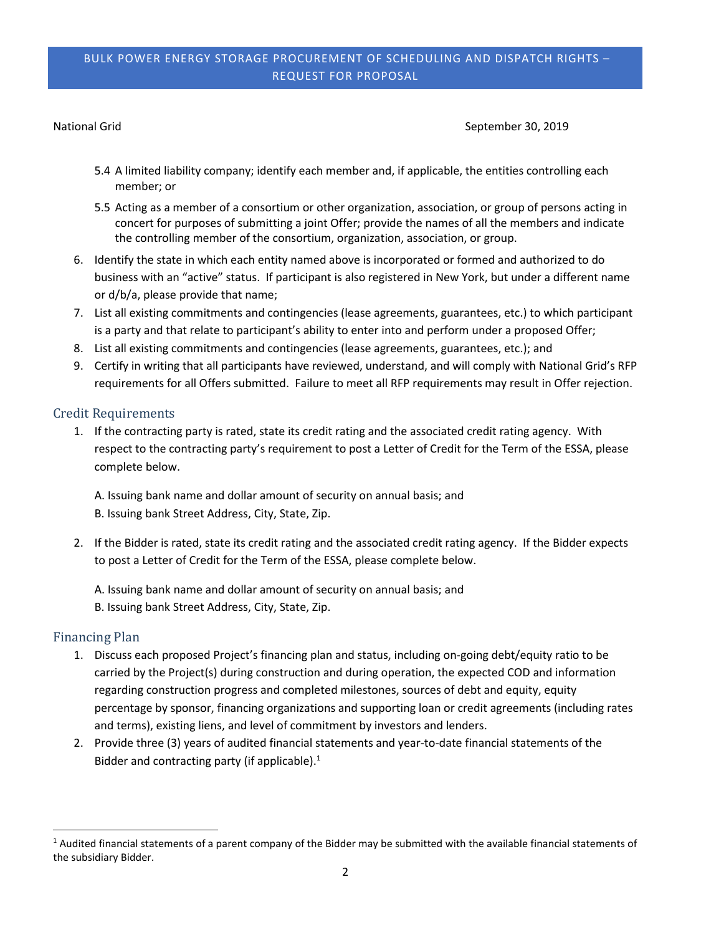National Grid September 30, 2019

- 5.4 A limited liability company; identify each member and, if applicable, the entities controlling each member; or
- 5.5 Acting as a member of a consortium or other organization, association, or group of persons acting in concert for purposes of submitting a joint Offer; provide the names of all the members and indicate the controlling member of the consortium, organization, association, or group.
- 6. Identify the state in which each entity named above is incorporated or formed and authorized to do business with an "active" status. If participant is also registered in New York, but under a different name or d/b/a, please provide that name;
- 7. List all existing commitments and contingencies (lease agreements, guarantees, etc.) to which participant is a party and that relate to participant's ability to enter into and perform under a proposed Offer;
- 8. List all existing commitments and contingencies (lease agreements, guarantees, etc.); and
- 9. Certify in writing that all participants have reviewed, understand, and will comply with National Grid's RFP requirements for all Offers submitted. Failure to meet all RFP requirements may result in Offer rejection.

### Credit Requirements

1. If the contracting party is rated, state its credit rating and the associated credit rating agency. With respect to the contracting party's requirement to post a Letter of Credit for the Term of the ESSA, please complete below.

A. Issuing bank name and dollar amount of security on annual basis; and B. Issuing bank Street Address, City, State, Zip.

- 2. If the Bidder is rated, state its credit rating and the associated credit rating agency. If the Bidder expects to post a Letter of Credit for the Term of the ESSA, please complete below.
	- A. Issuing bank name and dollar amount of security on annual basis; and B. Issuing bank Street Address, City, State, Zip.

## Financing Plan

- 1. Discuss each proposed Project's financing plan and status, including on-going debt/equity ratio to be carried by the Project(s) during construction and during operation, the expected COD and information regarding construction progress and completed milestones, sources of debt and equity, equity percentage by sponsor, financing organizations and supporting loan or credit agreements (including rates and terms), existing liens, and level of commitment by investors and lenders.
- 2. Provide three (3) years of audited financial statements and year-to-date financial statements of the Bidder and contracting party (if applicable). $1$

 $<sup>1</sup>$  Audited financial statements of a parent company of the Bidder may be submitted with the available financial statements of</sup> the subsidiary Bidder.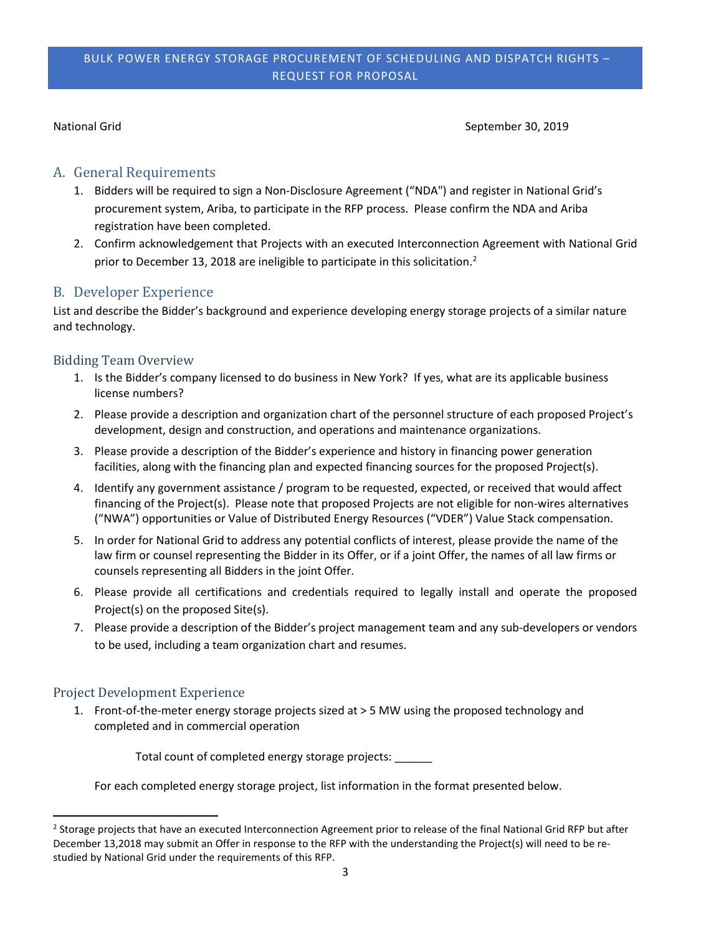National Grid September 30, 2019

# A. General Requirements

- 1. Bidders will be required to sign a Non-Disclosure Agreement ("NDA") and register in National Grid's procurement system, Ariba, to participate in the RFP process. Please confirm the NDA and Ariba registration have been completed.
- 2. Confirm acknowledgement that Projects with an executed Interconnection Agreement with National Grid prior to December 13, 2018 are ineligible to participate in this solicitation.<sup>2</sup>

# B. Developer Experience

List and describe the Bidder's background and experience developing energy storage projects of a similar nature and technology.

# Bidding Team Overview

- 1. Is the Bidder's company licensed to do business in New York? If yes, what are its applicable business license numbers?
- 2. Please provide a description and organization chart of the personnel structure of each proposed Project's development, design and construction, and operations and maintenance organizations.
- 3. Please provide a description of the Bidder's experience and history in financing power generation facilities, along with the financing plan and expected financing sources for the proposed Project(s).
- 4. Identify any government assistance / program to be requested, expected, or received that would affect financing of the Project(s). Please note that proposed Projects are not eligible for non-wires alternatives ("NWA") opportunities or Value of Distributed Energy Resources ("VDER") Value Stack compensation.
- 5. In order for National Grid to address any potential conflicts of interest, please provide the name of the law firm or counsel representing the Bidder in its Offer, or if a joint Offer, the names of all law firms or counsels representing all Bidders in the joint Offer.
- 6. Please provide all certifications and credentials required to legally install and operate the proposed Project(s) on the proposed Site(s).
- 7. Please provide a description of the Bidder's project management team and any sub-developers or vendors to be used, including a team organization chart and resumes.

# Project Development Experience

1. Front-of-the-meter energy storage projects sized at > 5 MW using the proposed technology and completed and in commercial operation

Total count of completed energy storage projects:

For each completed energy storage project, list information in the format presented below.

<sup>&</sup>lt;sup>2</sup> Storage projects that have an executed Interconnection Agreement prior to release of the final National Grid RFP but after December 13,2018 may submit an Offer in response to the RFP with the understanding the Project(s) will need to be restudied by National Grid under the requirements of this RFP.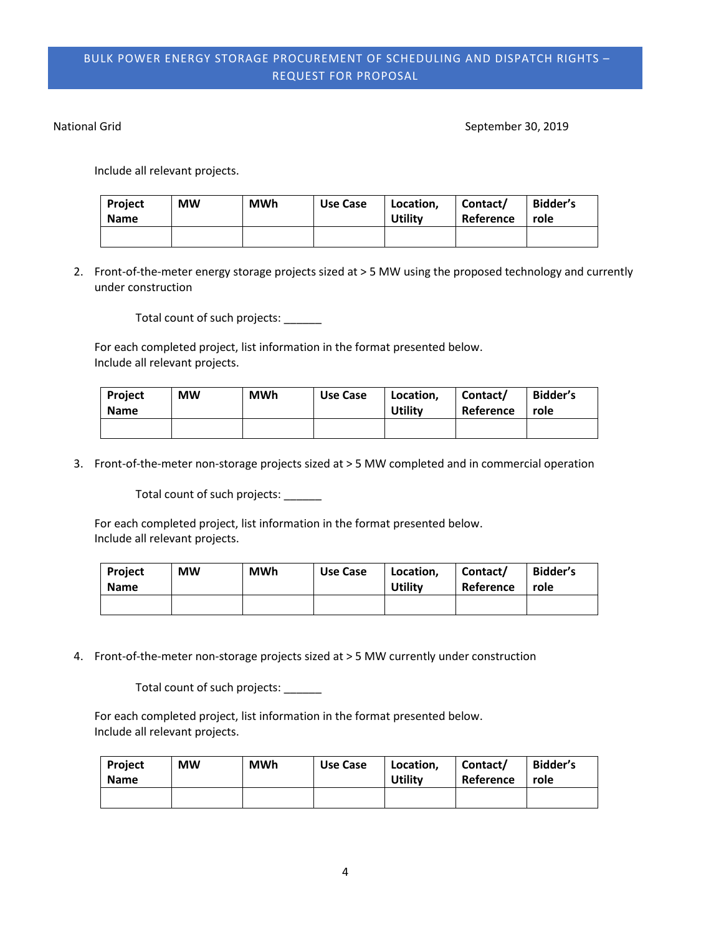National Grid September 30, 2019

Include all relevant projects.

| <b>Project</b><br><b>Name</b> | <b>MW</b> | <b>MWh</b> | Use Case | Location,<br>Utility | Contact/<br>Reference | Bidder's<br>role |
|-------------------------------|-----------|------------|----------|----------------------|-----------------------|------------------|
|                               |           |            |          |                      |                       |                  |

2. Front-of-the-meter energy storage projects sized at > 5 MW using the proposed technology and currently under construction

Total count of such projects: \_\_\_\_\_\_

For each completed project, list information in the format presented below. Include all relevant projects.

| <b>Project</b><br><b>Name</b> | <b>MW</b> | <b>MWh</b> | Use Case | Location,<br>Utility | Contact/<br>Reference | Bidder's<br>role |
|-------------------------------|-----------|------------|----------|----------------------|-----------------------|------------------|
|                               |           |            |          |                      |                       |                  |

3. Front-of-the-meter non-storage projects sized at > 5 MW completed and in commercial operation

Total count of such projects: \_\_\_\_\_\_

For each completed project, list information in the format presented below. Include all relevant projects.

| <b>Project</b><br><b>Name</b> | <b>MW</b> | <b>MWh</b> | Use Case | Location,<br>Utility | Contact/<br>Reference | Bidder's<br>role |
|-------------------------------|-----------|------------|----------|----------------------|-----------------------|------------------|
|                               |           |            |          |                      |                       |                  |

4. Front-of-the-meter non-storage projects sized at > 5 MW currently under construction

Total count of such projects:

For each completed project, list information in the format presented below. Include all relevant projects.

| Project<br><b>Name</b> | <b>MW</b> | <b>MWh</b> | Use Case | Location,<br><b>Utility</b> | Contact/<br>Reference | Bidder's<br>role |
|------------------------|-----------|------------|----------|-----------------------------|-----------------------|------------------|
|                        |           |            |          |                             |                       |                  |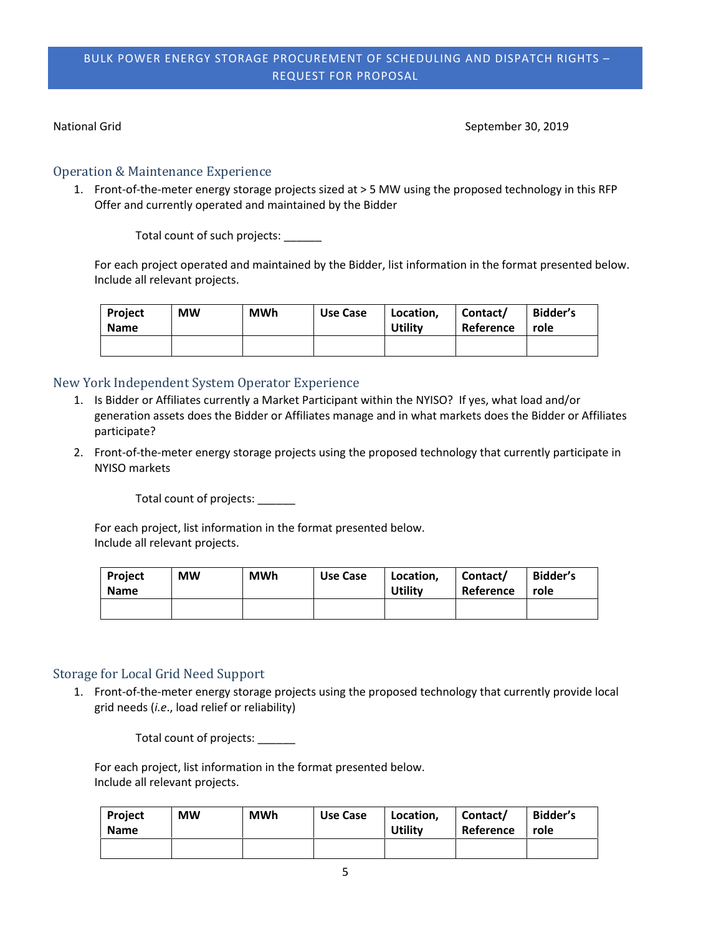National Grid September 30, 2019

## Operation & Maintenance Experience

1. Front-of-the-meter energy storage projects sized at > 5 MW using the proposed technology in this RFP Offer and currently operated and maintained by the Bidder

Total count of such projects: \_\_\_\_\_\_

For each project operated and maintained by the Bidder, list information in the format presented below. Include all relevant projects.

| Project<br><b>Name</b> | <b>MW</b> | <b>MWh</b> | Use Case | Location,<br><b>Utility</b> | Contact/<br>Reference | Bidder's<br>role |
|------------------------|-----------|------------|----------|-----------------------------|-----------------------|------------------|
|                        |           |            |          |                             |                       |                  |

# New York Independent System Operator Experience

- 1. Is Bidder or Affiliates currently a Market Participant within the NYISO? If yes, what load and/or generation assets does the Bidder or Affiliates manage and in what markets does the Bidder or Affiliates participate?
- 2. Front-of-the-meter energy storage projects using the proposed technology that currently participate in NYISO markets

Total count of projects: \_\_\_\_\_\_

For each project, list information in the format presented below. Include all relevant projects.

| Project<br><b>Name</b> | <b>MW</b> | <b>MWh</b> | Use Case | Location,<br><b>Utility</b> | Contact/<br>Reference | <b>Bidder's</b><br>role |
|------------------------|-----------|------------|----------|-----------------------------|-----------------------|-------------------------|
|                        |           |            |          |                             |                       |                         |

# Storage for Local Grid Need Support

1. Front-of-the-meter energy storage projects using the proposed technology that currently provide local grid needs (*i.e*., load relief or reliability)

Total count of projects:

For each project, list information in the format presented below. Include all relevant projects.

| <b>Project</b><br><b>Name</b> | <b>MW</b> | <b>MWh</b> | Use Case | Location,<br><b>Utility</b> | Contact/<br>Reference | Bidder's<br>role |
|-------------------------------|-----------|------------|----------|-----------------------------|-----------------------|------------------|
|                               |           |            |          |                             |                       |                  |